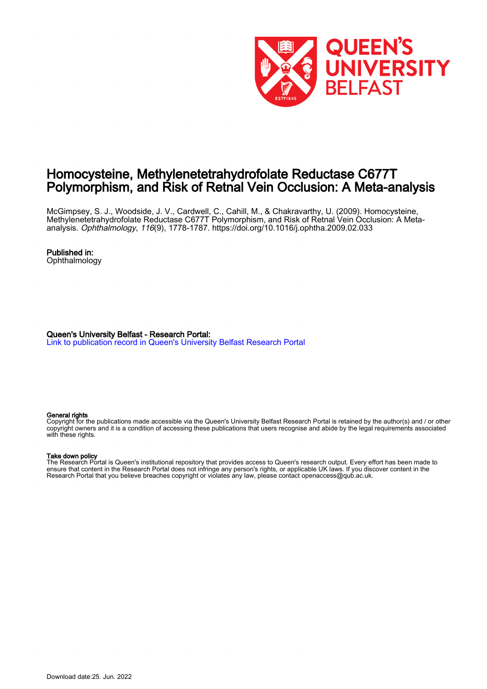

## Homocysteine, Methylenetetrahydrofolate Reductase C677T Polymorphism, and Risk of Retnal Vein Occlusion: A Meta-analysis

McGimpsey, S. J., Woodside, J. V., Cardwell, C., Cahill, M., & Chakravarthy, U. (2009). Homocysteine, Methylenetetrahydrofolate Reductase C677T Polymorphism, and Risk of Retnal Vein Occlusion: A Metaanalysis. Ophthalmology, 116(9), 1778-1787.<https://doi.org/10.1016/j.ophtha.2009.02.033>

### Published in:

Ophthalmology

Queen's University Belfast - Research Portal: [Link to publication record in Queen's University Belfast Research Portal](https://pure.qub.ac.uk/en/publications/73c0f047-30c2-4bd4-b1a7-f6470738424c)

#### General rights

Copyright for the publications made accessible via the Queen's University Belfast Research Portal is retained by the author(s) and / or other copyright owners and it is a condition of accessing these publications that users recognise and abide by the legal requirements associated with these rights.

#### Take down policy

The Research Portal is Queen's institutional repository that provides access to Queen's research output. Every effort has been made to ensure that content in the Research Portal does not infringe any person's rights, or applicable UK laws. If you discover content in the Research Portal that you believe breaches copyright or violates any law, please contact openaccess@qub.ac.uk.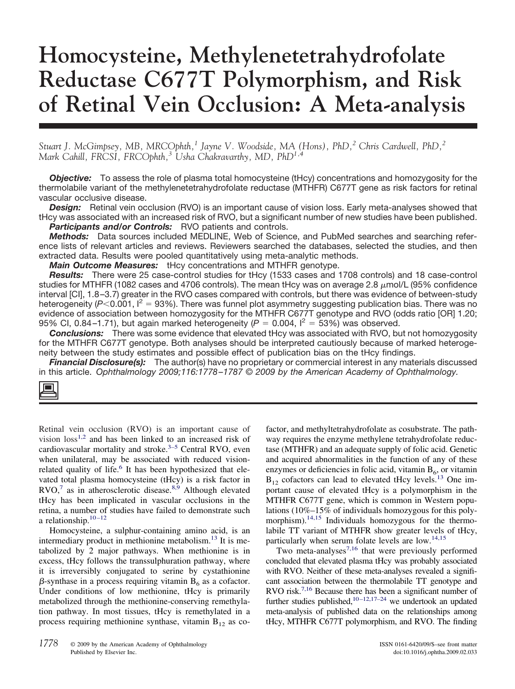# **Homocysteine, Methylenetetrahydrofolate Reductase C677T Polymorphism, and Risk of Retinal Vein Occlusion: A Meta-analysis**

*Stuart J. McGimpsey, MB, MRCOphth,1 Jayne V. Woodside, MA (Hons), PhD,2 Chris Cardwell, PhD,2 Mark Cahill, FRCSI, FRCOphth,3 Usha Chakravarthy, MD, PhD1,4*

**Objective:** To assess the role of plasma total homocysteine (tHcy) concentrations and homozygosity for the thermolabile variant of the methylenetetrahydrofolate reductase (MTHFR) C677T gene as risk factors for retinal vascular occlusive disease.

*Design:* Retinal vein occlusion (RVO) is an important cause of vision loss. Early meta-analyses showed that tHcy was associated with an increased risk of RVO, but a significant number of new studies have been published.

**Participants and/or Controls:** RVO patients and controls.

*Methods:* Data sources included MEDLINE, Web of Science, and PubMed searches and searching reference lists of relevant articles and reviews. Reviewers searched the databases, selected the studies, and then extracted data. Results were pooled quantitatively using meta-analytic methods.

*Main Outcome Measures:* tHcy concentrations and MTHFR genotype.

*Results:* There were 25 case-control studies for tHcy (1533 cases and 1708 controls) and 18 case-control studies for MTHFR (1082 cases and 4706 controls). The mean tHcy was on average 2.8  $\mu$ mol/L (95% confidence interval [CI], 1.8 –3.7) greater in the RVO cases compared with controls, but there was evidence of between-study heterogeneity (P<0.001, I<sup>2</sup> = 93%). There was funnel plot asymmetry suggesting publication bias. There was no evidence of association between homozygosity for the MTHFR C677T genotype and RVO (odds ratio [OR] 1.20; 95% CI, 0.84-1.71), but again marked heterogeneity ( $P = 0.004$ ,  $I^2 = 53\%$ ) was observed.

*Conclusions:* There was some evidence that elevated tHcy was associated with RVO, but not homozygosity for the MTHFR C677T genotype. Both analyses should be interpreted cautiously because of marked heterogeneity between the study estimates and possible effect of publication bias on the tHcy findings.

*Financial Disclosure(s):* The author(s) have no proprietary or commercial interest in any materials discussed in this article. *Ophthalmology 2009;116:1778 –1787 © 2009 by the American Academy of Ophthalmology.*

|--|

Retinal vein occlusion (RVO) is an important cause of vision  $loss^{1,2}$  and has been linked to an increased risk of cardiovascular mortality and stroke. $3-5$  Central RVO, even when unilateral, may be associated with reduced vision-related quality of life.<sup>[6](#page-8-0)</sup> It has been hypothesized that elevated total plasma homocysteine (tHcy) is a risk factor in  $RVO<sub>1</sub><sup>7</sup>$  as in atherosclerotic disease.<sup>[8,9](#page-8-0)</sup> Although elevated tHcy has been implicated in vascular occlusions in the retina, a number of studies have failed to demonstrate such a relationship. $10-12$ 

Homocysteine, a sulphur-containing amino acid, is an intermediary product in methionine metabolism.<sup>[13](#page-8-0)</sup> It is metabolized by 2 major pathways. When methionine is in excess, tHcy follows the transsulphuration pathway, where it is irreversibly conjugated to serine by cystathionine  $\beta$ -synthase in a process requiring vitamin  $B_6$  as a cofactor. Under conditions of low methionine, tHcy is primarily metabolized through the methionine-conserving remethylation pathway. In most tissues, tHcy is remethylated in a process requiring methionine synthase, vitamin  $B_{12}$  as cofactor, and methyltetrahydrofolate as cosubstrate. The pathway requires the enzyme methylene tetrahydrofolate reductase (MTHFR) and an adequate supply of folic acid. Genetic and acquired abnormalities in the function of any of these enzymes or deficiencies in folic acid, vitamin  $B_6$ , or vitamin  $B_{12}$  cofactors can lead to elevated tHcy levels.<sup>[13](#page-8-0)</sup> One important cause of elevated tHcy is a polymorphism in the MTHFR C677T gene, which is common in Western populations (10%–15% of individuals homozygous for this poly-morphism).<sup>[14,15](#page-8-0)</sup> Individuals homozygous for the thermolabile TT variant of MTHFR show greater levels of tHcy, particularly when serum folate levels are low.<sup>[14,15](#page-8-0)</sup>

Two meta-analyses $^{7,16}$  $^{7,16}$  $^{7,16}$  that were previously performed concluded that elevated plasma tHcy was probably associated with RVO. Neither of these meta-analyses revealed a significant association between the thermolabile TT genotype and RVO risk.<sup>7,16</sup> Because there has been a significant number of further studies published, $10-12,17-24$  we undertook an updated meta-analysis of published data on the relationships among tHcy, MTHFR C677T polymorphism, and RVO. The finding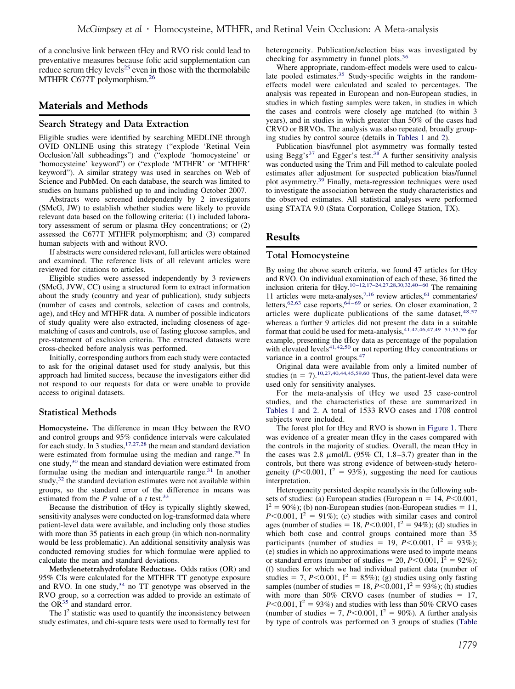of a conclusive link between tHcy and RVO risk could lead to preventative measures because folic acid supplementation can reduce serum tHcy levels $25$  even in those with the thermolabile MTHFR C677T polymorphism[.26](#page-8-0)

#### **Materials and Methods**

#### **Search Strategy and Data Extraction**

Eligible studies were identified by searching MEDLINE through OVID ONLINE using this strategy ("explode 'Retinal Vein Occlusion'/all subheadings") and ("explode 'homocysteine' or 'homocysteine' keyword") or ("explode 'MTHFR' or 'MTHFR' keyword"). A similar strategy was used in searches on Web of Science and PubMed. On each database, the search was limited to studies on humans published up to and including October 2007.

Abstracts were screened independently by 2 investigators (SMcG, JW) to establish whether studies were likely to provide relevant data based on the following criteria: (1) included laboratory assessment of serum or plasma tHcy concentrations; or (2) assessed the C677T MTHFR polymorphism; and (3) compared human subjects with and without RVO.

If abstracts were considered relevant, full articles were obtained and examined. The reference lists of all relevant articles were reviewed for citations to articles.

Eligible studies were assessed independently by 3 reviewers (SMcG, JVW, CC) using a structured form to extract information about the study (country and year of publication), study subjects (number of cases and controls, selection of cases and controls, age), and tHcy and MTHFR data. A number of possible indicators of study quality were also extracted, including closeness of agematching of cases and controls, use of fasting glucose samples, and pre-statement of exclusion criteria. The extracted datasets were cross-checked before analysis was performed.

Initially, corresponding authors from each study were contacted to ask for the original dataset used for study analysis, but this approach had limited success, because the investigators either did not respond to our requests for data or were unable to provide access to original datasets.

#### **Statistical Methods**

**Homocysteine.** The difference in mean tHcy between the RVO and control groups and 95% confidence intervals were calculated for each study. In  $3$  studies,  $17,27,28$  the mean and standard deviation were estimated from formulae using the median and range.<sup>29</sup> In one study[,30](#page-8-0) the mean and standard deviation were estimated from formulae using the median and interquartile range.<sup>31</sup> In another study,<sup>32</sup> the standard deviation estimates were not available within groups, so the standard error of the difference in means was estimated from the *P* value of a *t* test[.33](#page-8-0)

Because the distribution of tHcy is typically slightly skewed, sensitivity analyses were conducted on log-transformed data where patient-level data were available, and including only those studies with more than 35 patients in each group (in which non-normality would be less problematic). An additional sensitivity analysis was conducted removing studies for which formulae were applied to calculate the mean and standard deviations.

**Methylenetetrahydrofolate Reductase.** Odds ratios (OR) and 95% CIs were calculated for the MTHFR TT genotype exposure and RVO. In one study, $34$  no TT genotype was observed in the RVO group, so a correction was added to provide an estimate of the  $OR<sup>35</sup>$  and standard error.

The  $I<sup>2</sup>$  statistic was used to quantify the inconsistency between study estimates, and chi-square tests were used to formally test for heterogeneity. Publication/selection bias was investigated by checking for asymmetry in funnel plots.[36](#page-8-0)

Where appropriate, random-effect models were used to calculate pooled estimates. $35$  Study-specific weights in the randomeffects model were calculated and scaled to percentages. The analysis was repeated in European and non-European studies, in studies in which fasting samples were taken, in studies in which the cases and controls were closely age matched (to within 3 years), and in studies in which greater than 50% of the cases had CRVO or BRVOs. The analysis was also repeated, broadly grouping studies by control source (details in [Tables 1](#page-3-0) and [2\)](#page-4-0).

Publication bias/funnel plot asymmetry was formally tested using Begg's<sup>[37](#page-8-0)</sup> and Egger's test.<sup>[38](#page-8-0)</sup> A further sensitivity analysis was conducted using the Trim and Fill method to calculate pooled estimates after adjustment for suspected publication bias/funnel plot asymmetry[.39](#page-9-0) Finally, meta-regression techniques were used to investigate the association between the study characteristics and the observed estimates. All statistical analyses were performed using STATA 9.0 (Stata Corporation, College Station, TX).

#### **Results**

#### **Total Homocysteine**

By using the above search criteria, we found 47 articles for tHcy and RVO. On individual examination of each of these, 36 fitted the inclusion criteria for tHcy.<sup>10–12,17–24,27,28,30,32,40–60</sup> The remaining 11 articles were meta-analyses, $7,16$  review articles, $61$  commentaries/ letters,  $62,63$  case reports,  $64-69$  or series. On closer examination, 2 articles were duplicate publications of the same dataset,  $48,57$ whereas a further 9 articles did not present the data in a suitable format that could be used for meta-analysis,[41,42,46,47,49–51,55,56](#page-9-0) for example, presenting the tHcy data as percentage of the population with elevated levels<sup>41,42,50</sup> or not reporting tHcy concentrations or variance in a control groups[.47](#page-9-0)

Original data were available from only a limited number of studies ( $n = 7$ ).<sup>[10,27,40,44,45,59,60](#page-8-0)</sup> Thus, the patient-level data were used only for sensitivity analyses.

For the meta-analysis of tHcy we used 25 case-control studies, and the characteristics of these are summarized in [Tables 1](#page-3-0) and [2.](#page-4-0) A total of 1533 RVO cases and 1708 control subjects were included.

The forest plot for tHcy and RVO is shown in [Figure 1.](#page-5-0) There was evidence of a greater mean tHcy in the cases compared with the controls in the majority of studies. Overall, the mean tHcy in the cases was 2.8  $\mu$ mol/L (95% CI, 1.8–3.7) greater than in the controls, but there was strong evidence of between-study heterogeneity ( $P < 0.001$ ,  $I^2 = 93\%$ ), suggesting the need for cautious interpretation.

Heterogeneity persisted despite reanalysis in the following subsets of studies: (a) European studies (European  $n = 14$ ,  $P < 0.001$ ,  $I^2 = 90\%$ ); (b) non-European studies (non-European studies = 11,  $P \le 0.001$ ,  $I^2 = 91\%$ ; (c) studies with similar cases and control ages (number of studies = 18, *P*<0.001,  $I^2 = 94\%$ ); (d) studies in which both case and control groups contained more than 35 participants (number of studies  $=$  19, *P*<0.001,  $I^2 = 93\%$ ); (e) studies in which no approximations were used to impute means or standard errors (number of studies = 20,  $P \le 0.001$ ,  $I^2 = 92\%$ ); (f) studies for which we had individual patient data (number of studies = 7,  $P \le 0.001$ ,  $I^2 = 85\%$ ); (g) studies using only fasting samples (number of studies = 18,  $P \le 0.001$ ,  $I^2 = 93\%$ ); (h) studies with more than  $50\%$  CRVO cases (number of studies = 17,  $P \le 0.001$ ,  $I^2 = 93\%$ ) and studies with less than 50% CRVO cases (number of studies = 7,  $P \le 0.001$ ,  $I^2 = 90\%$ ). A further analysis by type of controls was performed on 3 groups of studies (Table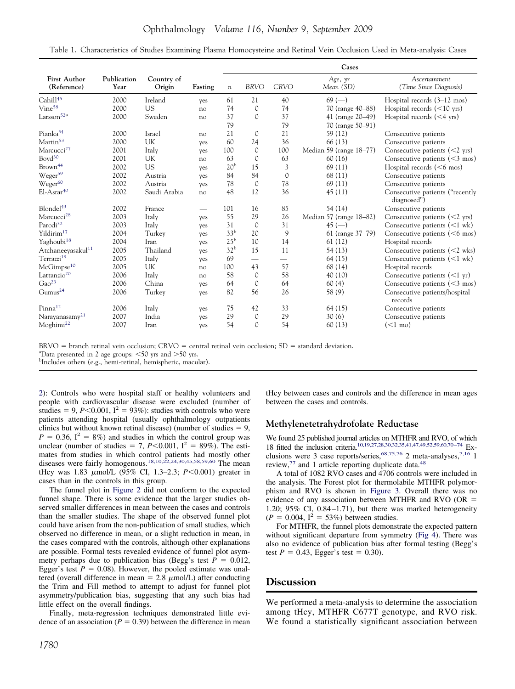<span id="page-3-0"></span>

|                                    |                     |                      |         |                 |                 |                               | Cases                                |                                                |
|------------------------------------|---------------------|----------------------|---------|-----------------|-----------------|-------------------------------|--------------------------------------|------------------------------------------------|
| <b>First Author</b><br>(Reference) | Publication<br>Year | Country of<br>Origin | Fasting | $\it n$         | <b>BRVO</b>     | <b>CRVO</b>                   | Age, yr<br>Mean (SD)                 | Ascertainment<br>(Time Since Diagnosis)        |
| Cahill <sup>45</sup>               | 2000                | Ireland              | yes     | 61              | 21              | 40                            | $69$ (-)                             | Hospital records $(3-12 \text{ mos})$          |
| Vine <sup>58</sup>                 | 2000                | <b>US</b>            | no      | 74              | 0               | 74                            | 70 (range 40–88)                     | Hospital records $(<10$ yrs)                   |
| $\rm Larsson^{52a}$                | 2000                | Sweden               | no      | 37<br>79        | $\Omega$        | 37<br>79                      | 41 (range 20-49)<br>70 (range 50-91) | Hospital records $(< 4 \text{ vrs})$           |
| Pianka <sup>54</sup>               | 2000                | Israel               | no      | 21              | 0               | 21                            | 59 (12)                              | Consecutive patients                           |
| Martin <sup>53</sup>               | 2000                | UK                   | yes     | 60              | 24              | 36                            | 66 (13)                              | Consecutive patients                           |
| Marcucci <sup>27</sup>             | 2001                | Italy                | yes     | 100             | 0               | 100                           | Median 59 (range 18-77)              | Consecutive patients $(< 2$ yrs)               |
| $Boyd^{30}$                        | 2001                | UK                   | no      | 63              | 0               | 63                            | 60(16)                               | Consecutive patients $(<$ 3 mos)               |
| $\mbox{Brown}^{44}$                | 2002                | <b>US</b>            | yes     | 20 <sup>b</sup> | 15              | 3                             | 69 (11)                              | Hospital records $(< 6$ mos)                   |
| Weger <sup>59</sup>                | 2002                | Austria              | yes     | 84              | 84              | $\mathcal{O}$                 | 68 (11)                              | Consecutive patients                           |
| Weger <sup>60</sup>                | 2002                | Austria              | yes     | 78              | 0               | 78                            | 69 (11)                              | Consecutive patients                           |
| $El-Asrar^{40}$                    | 2002                | Saudi Arabia         | no      | 48              | 12              | 36                            | 45(11)                               | Consecutive patients ("recently<br>diagnosed") |
| Blondel <sup>43</sup>              | 2002                | France               |         | 101             | 16              | 85                            | 54 (14)                              | Consecutive patients                           |
| Marcucci <sup>28</sup>             | 2003                | Italy                | yes     | 55              | 29              | 26                            | Median 57 (range 18-82)              | Consecutive patients $(< 2$ yrs)               |
| Parodi <sup>32</sup>               | 2003                | Italy                | yes     | 31              | $\Omega$        | 31                            | $45$ (-)                             | Consecutive patients $(< 1$ wk)                |
| Yildirim <sup>17</sup>             | 2004                | Turkey               | yes     | 33 <sup>b</sup> | 20              | 9                             | 61 (range 37-79)                     | Consecutive patients (<6 mos)                  |
| Yaghoubi <sup>18</sup>             | 2004                | Iran                 | yes     | 25 <sup>b</sup> | 10              | 14                            | 61(12)                               | Hospital records                               |
| Atchaneeyasakul <sup>11</sup>      | 2005                | Thailand             | yes     | 32 <sup>b</sup> | 15              | 11                            | 54 (13)                              | Consecutive patients $(< 2$ wks)               |
| Terrazzi <sup>19</sup>             | 2005                | Italy                | yes     | 69              | $\qquad \qquad$ | $\overbrace{\phantom{aaaaa}}$ | 64 (15)                              | Consecutive patients $(< 1$ wk)                |
| McGimpse <sup>10</sup>             | 2005                | UK                   | no      | 100             | 43              | 57                            | 68 (14)                              | Hospital records                               |
| Lattanzio <sup>20</sup>            | 2006                | Italy                | no      | 58              | 0               | 58                            | 40(10)                               | Consecutive patients $(<1$ yr)                 |
| Gao <sup>23</sup>                  | 2006                | China                | yes     | 64              | $\mathcal{O}$   | 64                            | 60(4)                                | Consecutive patients $(< 3$ mos)               |
| Gumus <sup>24</sup>                | 2006                | Turkey               | yes     | 82              | 56              | 26                            | 58 (9)                               | Consecutive patients/hospital<br>records       |
| Pinna <sup>12</sup>                | 2006                | Italy                | yes     | 75              | 42              | 33                            | 64 (15)                              | Consecutive patients                           |
| Narayanasamy <sup>21</sup>         | 2007                | India                | yes     | 29              | 0               | 29                            | 30(6)                                | Consecutive patients                           |
| Moghimi <sup>22</sup>              | 2007                | Iran                 | yes     | 54              | $\Omega$        | 54                            | 60(13)                               | $(<1$ mo)                                      |

BRVO = branch retinal vein occlusion; CRVO = central retinal vein occlusion; SD = standard deviation.<br>"Data presented in 2 age groups: <50 yrs and >50 yrs

 $a$ Data presented in 2 age groups:  $<$  50 yrs and  $>$  50 yrs.

<sup>b</sup>Includes others (e.g., hemi-retinal, hemispheric, macular).

[2\)](#page-4-0): Controls who were hospital staff or healthy volunteers and people with cardiovascular disease were excluded (number of studies = 9,  $P \le 0.001$ ,  $I^2 = 93\%$ ): studies with controls who were patients attending hospital (usually ophthalmology outpatients clinics but without known retinal disease) (number of studies  $= 9$ ,  $P = 0.36$ ,  $I^2 = 8\%$ ) and studies in which the control group was unclear (number of studies = 7,  $P \le 0.001$ ,  $I^2 = 89\%$ ). The estimates from studies in which control patients had mostly other diseases were fairly homogenous.<sup>[18,10,22,24,30,45,58,59,60](#page-8-0)</sup> The mean tHcy was 1.83  $\mu$ mol/L (95% CI, 1.3–2.3; *P*<0.001) greater in cases than in the controls in this group.

The funnel plot in [Figure 2](#page-5-0) did not conform to the expected funnel shape. There is some evidence that the larger studies observed smaller differences in mean between the cases and controls than the smaller studies. The shape of the observed funnel plot could have arisen from the non-publication of small studies, which observed no difference in mean, or a slight reduction in mean, in the cases compared with the controls, although other explanations are possible. Formal tests revealed evidence of funnel plot asymmetry perhaps due to publication bias (Begg's test  $P = 0.012$ , Egger's test  $P = 0.08$ ). However, the pooled estimate was unaltered (overall difference in mean  $= 2.8 \mu$ mol/L) after conducting the Trim and Fill method to attempt to adjust for funnel plot asymmetry/publication bias, suggesting that any such bias had little effect on the overall findings.

Finally, meta-regression techniques demonstrated little evidence of an association ( $P = 0.39$ ) between the difference in mean

tHcy between cases and controls and the difference in mean ages between the cases and controls.

#### **Methylenetetrahydrofolate Reductase**

We found 25 published journal articles on MTHFR and RVO, of which 18 fitted the inclusion criteria[.10,19,27,28,30,32,35,41,47,49,52,59,60,70–74](#page-8-0) Exclusions were 3 case reports/series,  $68,75,76$  2 meta-analyses,  $7,16$  1 review, $77$  and 1 article reporting duplicate data. $48$ 

A total of 1082 RVO cases and 4706 controls were included in the analysis. The Forest plot for thermolabile MTHFR polymorphism and RVO is shown in [Figure 3.](#page-6-0) Overall there was no evidence of any association between MTHFR and RVO (OR  $=$ 1.20; 95% CI, 0.84–1.71), but there was marked heterogeneity  $(P = 0.004, I^2 = 53\%)$  between studies.

For MTHFR, the funnel plots demonstrate the expected pattern without significant departure from symmetry [\(Fig 4\)](#page-6-0). There was also no evidence of publication bias after formal testing (Begg's test  $P = 0.43$ , Egger's test = 0.30).

#### **Discussion**

We performed a meta-analysis to determine the association among tHcy, MTHFR C677T genotype, and RVO risk. We found a statistically significant association between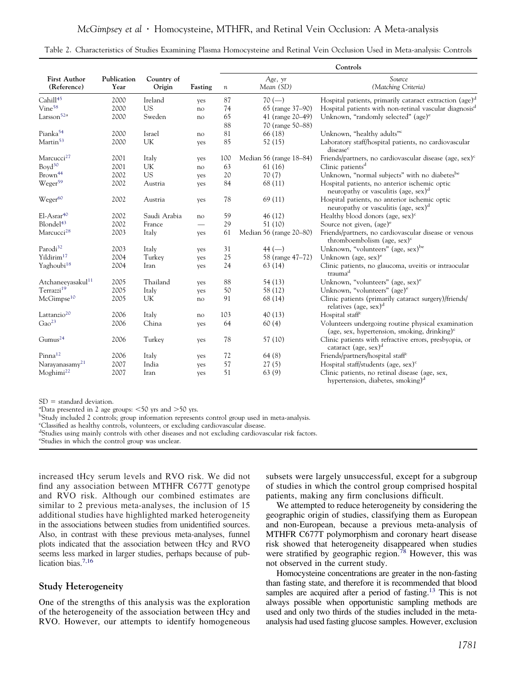<span id="page-4-0"></span>

| Table 2. Characteristics of Studies Examining Plasma Homocysteine and Retinal Vein Occlusion Used in Meta-analysis: Controls |  |  |
|------------------------------------------------------------------------------------------------------------------------------|--|--|
|------------------------------------------------------------------------------------------------------------------------------|--|--|

|                                    |                     |                      |         |          |                                      | Controls                                                                                                     |
|------------------------------------|---------------------|----------------------|---------|----------|--------------------------------------|--------------------------------------------------------------------------------------------------------------|
| <b>First Author</b><br>(Reference) | Publication<br>Year | Country of<br>Origin | Fasting | $\it n$  | Age, yr<br>Mean (SD)                 | Source<br>(Matching Criteria)                                                                                |
| Cahill <sup>45</sup>               | 2000                | Ireland              | yes     | 87       | $70 (-)$                             | Hospital patients, primarily cataract extraction $(age)^d$                                                   |
| Vine <sup>58</sup>                 | 2000                | <b>US</b>            | no      | 74       | 65 (range 37–90)                     | Hospital patients with non-retinal vascular diagnosis <sup>d</sup>                                           |
| Larsson <sup>52a</sup>             | 2000                | Sweden               | no      | 65<br>88 | 41 (range 20-49)<br>70 (range 50–88) | Unknown, "randomly selected" (age) <sup>e</sup>                                                              |
| Pianka <sup>54</sup>               | 2000                | Israel               | no      | 81       | 66 (18)                              | Unknown, "healthy adults" <sup>c</sup>                                                                       |
| Martin <sup>53</sup>               | 2000                | UK                   | yes     | 85       | 52(15)                               | Laboratory staff/hospital patients, no cardiovascular<br>disease <sup>c</sup>                                |
| Marcucci <sup>27</sup>             | 2001                | Italy                | yes     | 100      | Median 56 (range 18-84)              | Friends/partners, no cardiovascular disease (age, sex) <sup>c</sup>                                          |
| Boyd <sup>30</sup>                 | 2001                | UK                   | no      | 63       | 61 (16)                              | Clinic patients <sup>d</sup>                                                                                 |
| Brown <sup>44</sup>                | 2002                | <b>US</b>            | yes     | 20       | 70(7)                                | Unknown, "normal subjects" with no diabetes <sup>be</sup>                                                    |
| Weger <sup>59</sup>                | 2002                | Austria              | yes     | 84       | 68 (11)                              | Hospital patients, no anterior ischemic optic<br>neuropathy or vasculitis (age, sex) <sup>d</sup>            |
| Weger <sup>60</sup>                | 2002                | Austria              | yes     | 78       | 69 (11)                              | Hospital patients, no anterior ischemic optic<br>neuropathy or vasculitis (age, $sex$ ) <sup>d</sup>         |
| $El-Asrar^{40}$                    | 2002                | Saudi Arabia         | no      | 59       | 46(12)                               | Healthy blood donors (age, $sex$ ) <sup>c</sup>                                                              |
| Blondel <sup>43</sup>              | 2002                | France               |         | 29       | 51 (10)                              | Source not given, (age) <sup>e</sup>                                                                         |
| Marcucci <sup>28</sup>             | 2003                | Italy                | yes     | 61       | Median 56 (range 20-80)              | Friends/partners, no cardiovascular disease or venous<br>thromboembolism (age, sex) $\text{c}$               |
| Parodi <sup>32</sup>               | 2003                | Italy                | yes     | 31       | $44$ (--)                            | Unknown, "volunteers" (age, sex) <sup>be</sup>                                                               |
| Yildirim <sup>17</sup>             | 2004                | Turkey               | yes     | 25       | 58 (range 47–72)                     | Unknown (age, $sex$ ) <sup>e</sup>                                                                           |
| Yaghoubi <sup>18</sup>             | 2004                | Iran                 | yes     | 24       | 63(14)                               | Clinic patients, no glaucoma, uveitis or intraocular<br>trauma <sup>d</sup>                                  |
| Atchaneeyasakul <sup>11</sup>      | 2005                | Thailand             | yes     | 88       | 54 (13)                              | Unknown, "volunteers" (age, sex) <sup>e</sup>                                                                |
| Terrazzi <sup>19</sup>             | 2005                | Italy                | yes     | 50       | 58 (12)                              | Unknown, "volunteers" (age) <sup>e</sup>                                                                     |
| McGimpse <sup>10</sup>             | 2005                | UK                   | no      | 91       | 68 (14)                              | Clinic patients (primarily cataract surgery)/friends/<br>relatives (age, sex) <sup>d</sup>                   |
| Lattanzio <sup>20</sup>            | 2006                | Italy                | no      | 103      | 40(13)                               | Hospital staff <sup>c</sup>                                                                                  |
| Gao <sup>23</sup>                  | 2006                | China                | yes     | 64       | 60(4)                                | Volunteers undergoing routine physical examination<br>(age, sex, hypertension, smoking, drinking) $\epsilon$ |
| Gumus <sup>24</sup>                | 2006                | Turkey               | yes     | 78       | 57 (10)                              | Clinic patients with refractive errors, presbyopia, or<br>cataract (age, sex) $d$                            |
| Pinna <sup>12</sup>                | 2006                | Italy                | yes     | 72       | 64(8)                                | Friends/partners/hospital staff <sup>c</sup>                                                                 |
| Narayanasamy <sup>21</sup>         | 2007                | India                | yes     | 57       | 27(5)                                | Hospital staff/students (age, sex) <sup>c</sup>                                                              |
| Moghimi <sup>22</sup>              | 2007                | Iran                 | yes     | 51       | 63(9)                                | Clinic patients, no retinal disease (age, sex,<br>hypertension, diabetes, smoking) <sup>d</sup>              |

 $SD =$  standard deviation.<br>aData presented in 2,300.

 $a^2$ Data presented in 2 age groups:  $<$  50 yrs and  $>$  50 yrs.

Study included 2 controls; group information represents control group used in meta-analysis.

c Classified as healthy controls, volunteers, or excluding cardiovascular disease.

d Studies using mainly controls with other diseases and not excluding cardiovascular risk factors.

e Studies in which the control group was unclear.

increased tHcy serum levels and RVO risk. We did not find any association between MTHFR C677T genotype and RVO risk. Although our combined estimates are similar to 2 previous meta-analyses, the inclusion of 15 additional studies have highlighted marked heterogeneity in the associations between studies from unidentified sources. Also, in contrast with these previous meta-analyses, funnel plots indicated that the association between tHcy and RVO seems less marked in larger studies, perhaps because of publication bias.<sup>7,16</sup>

#### **Study Heterogeneity**

One of the strengths of this analysis was the exploration of the heterogeneity of the association between tHcy and RVO. However, our attempts to identify homogeneous subsets were largely unsuccessful, except for a subgroup of studies in which the control group comprised hospital patients, making any firm conclusions difficult.

We attempted to reduce heterogeneity by considering the geographic origin of studies, classifying them as European and non-European, because a previous meta-analysis of MTHFR C677T polymorphism and coronary heart disease risk showed that heterogeneity disappeared when studies were stratified by geographic region.<sup>[78](#page-9-0)</sup> However, this was not observed in the current study.

Homocysteine concentrations are greater in the non-fasting than fasting state, and therefore it is recommended that blood samples are acquired after a period of fasting.<sup>13</sup> This is not always possible when opportunistic sampling methods are used and only two thirds of the studies included in the metaanalysis had used fasting glucose samples. However, exclusion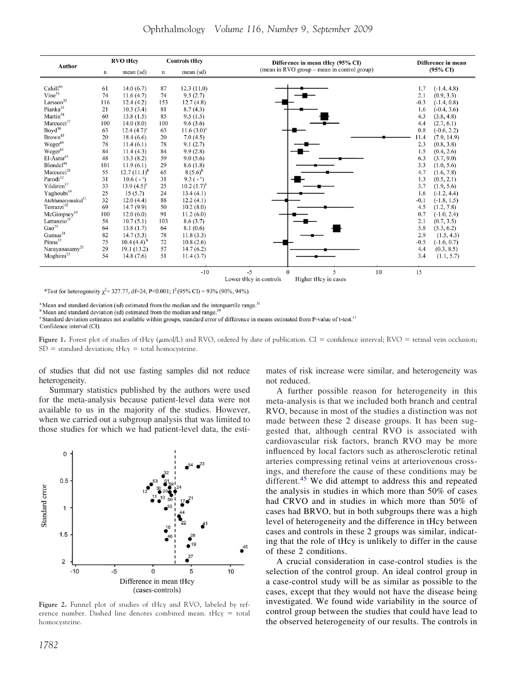<span id="page-5-0"></span>

| <b>Author</b>                                |     | <b>RVO</b> tHey   |     | <b>Controls tHey</b> | Difference in mean tHcy (95% CI)               | Difference in mean |                     |  |
|----------------------------------------------|-----|-------------------|-----|----------------------|------------------------------------------------|--------------------|---------------------|--|
|                                              | n   | mean (sd)         | n   | mean (sd)            | (mean in RVO group – mean in control group)    |                    | $(95\% \text{ CI})$ |  |
| Cahill <sup>46</sup>                         | 61  | 14.0(6.7)         | 87  | 12.3(11.0)           |                                                | 1.7                | $(-1.4, 4.8)$       |  |
| $Vine^{59}$                                  | 74  | 11.6(4.7)         | 74  | 9.5(2.7)             |                                                | 2.1                | (0.9, 3.3)          |  |
| Larsson <sup>53</sup>                        | 116 | 12.4(4.2)         | 153 | 12.7(4.8)            |                                                | $-0.3$             | $(-1.4, 0.8)$       |  |
| Pianka <sup>55</sup>                         | 21  | 10.3(3.4)         | 81  | 8.7(4.3)             |                                                | 1.6                | $(-0.4, 3.6)$       |  |
| Martin <sup>54</sup>                         | 60  |                   | 85  |                      |                                                | 4.3                |                     |  |
|                                              | 100 | 13.8(1.5)         | 100 | 9.5(1.5)             |                                                |                    | (3.8, 4.8)          |  |
| Marcucci <sup>27</sup><br>Boyd <sup>30</sup> |     | 14.0(8.0)         |     | 9.6(3.6)             |                                                | 4.4                | (2.7, 6.1)          |  |
|                                              | 63  | $12.4(4.7)^a$     | 63  | $11.6(3.0)^{a}$      |                                                | 0.8                | $(-0.6, 2.2)$       |  |
| Brown <sup>45</sup>                          | 20  | 18.4(6.6)         | 20  | 7.0(4.5)             |                                                | 11.4               | (7.9, 14.9)         |  |
| $\mathbf{Weger}^{60}$                        | 78  | 11.4(6.1)         | 78  | 9.1(2.7)             |                                                | 2.3                | (0.8, 3.8)          |  |
| Weger <sup>61</sup>                          | 84  | 11.4(4.3)         | 84  | 9.9(2.8)             |                                                | 1.5                | (0.4, 2.6)          |  |
| $El-Asrar41$                                 | 48  | 15.3(8.2)         | 59  | 9.0(5.6)             |                                                | 6.3                | (3.7, 9.0)          |  |
| Blondel <sup>44</sup>                        | 101 | 11.9(6.1)         | 29  | 8.6(1.8)             |                                                | 3.3                | (1.0, 5.6)          |  |
| Marcucci <sup>28</sup>                       | 55  | $12.7 (11.1)^{b}$ | 65  | $8(5.6)^{b}$         |                                                | 4.7                | (1.6, 7.8)          |  |
| Parodi <sup>32</sup>                         | 31  | $10.6(-°)$        | 31  | $9.3(-°)$            |                                                | 1.3                | (0.5, 2.1)          |  |
| Yildirim <sup>17</sup>                       | 33  | $13.9(4.5)^{b}$   | 25  | $10.2 (1.7)^{b}$     |                                                | 3.7                | (1.9, 5.6)          |  |
| ${\bf Yaghoubi}^{18}$                        | 25  | 15(5.7)           | 24  | 13.4(4.1)            |                                                | 1.6                | $(-1.2, 4.4)$       |  |
| Atchhaneeyasakul <sup>11</sup>               | 32  | 12.0(4.4)         | 88  | 12.2(4.1)            |                                                | $-0.1$             | $(-1.8, 1.5)$       |  |
| Terrazzi <sup>19</sup>                       | 69  | 14.7(9.9)         | 50  | 10.2(8.0)            |                                                | 4.5                | (1.2, 7.8)          |  |
| $McG$ impsey $10$                            | 100 | 12.0(6.0)         | 91  | 11.2(6.0)            |                                                | 0.7                | $(-1.0, 2.4)$       |  |
| Lattanzio <sup>20</sup>                      | 58  | 10.7(5.1)         | 103 | 8.6(3.7)             |                                                | 2.1                | (0.7, 3.5)          |  |
| Gao <sup>23</sup>                            | 64  | 13.8(1.7)         | 64  | 8.1(0.6)             |                                                | 5.8                | (5.3, 6.2)          |  |
| Gumus <sup>24</sup>                          | 82  | 14.7(5.3)         | 78  | 11.8(3.3)            |                                                | 2.9                | (1.5, 4.3)          |  |
| $\rm Pinna^{12}$                             | 75  | $10.4(4.4)^{b}$   | 72  | 10.8(2.6)            |                                                | $-0.5$             | $(-1.6, 0.7)$       |  |
| Narayanasamy <sup>21</sup>                   | 29  | 19.1(13.2)        | 57  | 14.7(6.2)            |                                                | 4.4                | (0.3, 8.5)          |  |
| Moghimi <sup>22</sup>                        | 54  | 14.8(7.6)         | 51  | 11.4(3.7)            |                                                | 3.4                | (1.1, 5.7)          |  |
|                                              |     |                   |     |                      |                                                |                    |                     |  |
|                                              |     |                   |     | $-10$                | $-5$<br>5<br>10<br>$\Omega$                    | 15                 |                     |  |
|                                              |     |                   |     |                      | Higher tHcy in cases<br>Lower tHey in controls |                    |                     |  |

\*Test for heterogeneity  $\chi^2$  = 327.77, df = 24, P<0.001; I<sup>2</sup> (95% CI) = 93% (90%, 94%).

<sup>a</sup>Mean and standard deviation (sd) estimated from the median and the interquartile range.<sup>31</sup>

<sup>b</sup> Mean and standard deviation (sd) estimated from the median and range.

<sup>c</sup> Standard deviation estimates not available within groups, standard error of difference in means estimated from P-value of t-test.<sup>33</sup>

Confidence interval (CI).

**Figure 1.** Forest plot of studies of tHcy ( $\mu$ mol/L) and RVO, ordered by date of publication. CI = confidence interval; RVO = retinal vein occlusion;  $SD =$  standard deviation; tHcy = total homocysteine.

of studies that did not use fasting samples did not reduce heterogeneity.

Summary statistics published by the authors were used for the meta-analysis because patient-level data were not available to us in the majority of the studies. However, when we carried out a subgroup analysis that was limited to those studies for which we had patient-level data, the esti-



**Figure 2.** Funnel plot of studies of tHcy and RVO, labeled by reference number. Dashed line denotes combined mean. tHcy = total homocysteine.

mates of risk increase were similar, and heterogeneity was not reduced.

A further possible reason for heterogeneity in this meta-analysis is that we included both branch and central RVO, because in most of the studies a distinction was not made between these 2 disease groups. It has been suggested that, although central RVO is associated with cardiovascular risk factors, branch RVO may be more influenced by local factors such as atherosclerotic retinal arteries compressing retinal veins at arteriovenous crossings, and therefore the cause of these conditions may be different.<sup>[45](#page-9-0)</sup> We did attempt to address this and repeated the analysis in studies in which more than 50% of cases had CRVO and in studies in which more than 50% of cases had BRVO, but in both subgroups there was a high level of heterogeneity and the difference in tHcy between cases and controls in these 2 groups was similar, indicating that the role of tHcy is unlikely to differ in the cause of these 2 conditions.

A crucial consideration in case-control studies is the selection of the control group. An ideal control group in a case-control study will be as similar as possible to the cases, except that they would not have the disease being investigated. We found wide variability in the source of control group between the studies that could have lead to the observed heterogeneity of our results. The controls in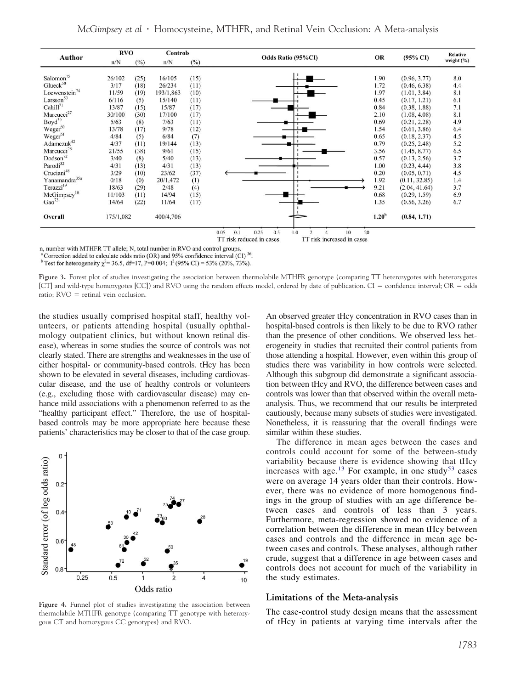*McGimpsey et al* Homocysteine, MTHFR, and Retinal Vein Occlusion: A Meta-analysis

<span id="page-6-0"></span>

| Author                          |           | <b>RVO</b> |           | <b>Controls</b> | Odds Ratio (95%CI)                                        | OR                | $(95\% \text{ CI})$ | <b>Relative</b> |
|---------------------------------|-----------|------------|-----------|-----------------|-----------------------------------------------------------|-------------------|---------------------|-----------------|
|                                 | n/N       | (%)        | n/N       | (%)             |                                                           |                   |                     | weight $(\%)$   |
|                                 |           |            |           |                 |                                                           |                   |                     |                 |
| Salomon <sup>75</sup>           | 26/102    | (25)       | 16/105    | (15)            |                                                           | 1.90              | (0.96, 3.77)        | 8.0             |
| Glueck <sup>50</sup>            | 3/17      | (18)       | 26/234    | (11)            |                                                           | 1.72              | (0.46, 6.38)        | 4.4             |
| Loewenstein <sup>74</sup>       | 11/59     | (19)       | 193/1,863 | (10)            |                                                           | 1.97              | (1.01, 3.84)        | 8.1             |
| Larsson <sup>53</sup>           | 6/116     | (5)        | 15/140    | (11)            |                                                           | 0.45              | (0.17, 1.21)        | 6.1             |
| Cahill <sup>71</sup>            | 13/87     | (15)       | 15/87     | (17)            |                                                           | 0.84              | (0.38, 1.88)        | 7.1             |
| Marcucci <sup>27</sup>          | 30/100    | (30)       | 17/100    | (17)            |                                                           | 2.10              | (1.08, 4.08)        | 8.1             |
| $\mathbf{Boyd}^{30}$            | 5/63      | (8)        | 7/63      | (11)            |                                                           | 0.69              | (0.21, 2.28)        | 4.9             |
| Weger <sup>60</sup>             | 13/78     | (17)       | 9/78      | (12)            |                                                           | 1.54              | (0.61, 3.86)        | 6.4             |
| Weger <sup>61</sup>             | 4/84      | (5)        | 6/84      | (7)             |                                                           | 0.65              | (0.18, 2.37)        | 4.5             |
| Adamczuk <sup>42</sup>          | 4/37      | (11)       | 19/144    | (13)            |                                                           | 0.79              | (0.25, 2.48)        | 5.2             |
| Marcucci <sup>28</sup>          | 21/55     | (38)       | 9/61      | (15)            |                                                           | 3.56              | (1.45, 8.77)        | 6.5             |
| Dodson <sup>72</sup>            | 3/40      | (8)        | 5/40      | (13)            |                                                           | 0.57              | (0.13, 2.56)        | 3.7             |
| Parodi <sup>32</sup>            | 4/31      | (13)       | 4/31      | (13)            |                                                           | 1.00              | (0.23, 4.44)        | 3.8             |
| Cruciani <sup>48</sup>          | 3/29      | (10)       | 23/62     | (37)            |                                                           | 0.20              | (0.05, 0.71)        | 4.5             |
| Yanamandra <sup>35a</sup>       | 0/18      | (0)        | 20/1,472  | (1)             |                                                           | 1.92              | (0.11, 32.85)       | 1.4             |
| Terazzi <sup>19</sup>           | 18/63     | (29)       | 2/48      | (4)             |                                                           | 9.21              | (2.04, 41.64)       | 3.7             |
|                                 | 11/103    | (11)       | 14/94     | (15)            |                                                           | 0.68              | (0.29, 1.59)        | 6.9             |
| $McGimpsey10$ Gao <sup>73</sup> | 14/64     | (22)       | 11/64     | (17)            |                                                           | 1.35              | (0.56, 3.26)        | 6.7             |
| Overall                         | 175/1,082 |            | 400/4,706 |                 |                                                           | 1.20 <sup>b</sup> | (0.84, 1.71)        |                 |
|                                 |           |            |           |                 | 0.25<br>0.1<br>0.5<br>$\overline{c}$<br>0.05<br>1.0<br>10 | 20                |                     |                 |
|                                 |           |            |           |                 | TT risk reduced in cases<br>TT risk increased in cases    |                   |                     |                 |

n, number with MTHFR TT allele; N, total number in RVO and control groups.

Correction added to calculate odds ratio (OR) and  $95\%$  confidence interval (CI)<sup>36</sup>.

<sup>b</sup> Test for heterogeneity  $\chi^2$  = 36.5, df=17, P=0.004; I<sup>2</sup>(95% CI) = 53% (20%, 73%).

Figure 3. Forest plot of studies investigating the association between thermolabile MTHFR genotype (comparing TT heterozygotes with heterozygotes [CT] and wild-type homozygotes [CC]) and RVO using the random effects model, ordered by date of publication. CI = confidence interval; OR = odds ratio; RVO = retinal vein occlusion.

the studies usually comprised hospital staff, healthy volunteers, or patients attending hospital (usually ophthalmology outpatient clinics, but without known retinal disease), whereas in some studies the source of controls was not clearly stated. There are strengths and weaknesses in the use of either hospital- or community-based controls. tHcy has been shown to be elevated in several diseases, including cardiovascular disease, and the use of healthy controls or volunteers (e.g., excluding those with cardiovascular disease) may enhance mild associations with a phenomenon referred to as the "healthy participant effect." Therefore, the use of hospitalbased controls may be more appropriate here because these patients' characteristics may be closer to that of the case group.



**Figure 4.** Funnel plot of studies investigating the association between thermolabile MTHFR genotype (comparing TT genotype with heterozygous CT and homozygous CC genotypes) and RVO.

An observed greater tHcy concentration in RVO cases than in hospital-based controls is then likely to be due to RVO rather than the presence of other conditions. We observed less heterogeneity in studies that recruited their control patients from those attending a hospital. However, even within this group of studies there was variability in how controls were selected. Although this subgroup did demonstrate a significant association between tHcy and RVO, the difference between cases and controls was lower than that observed within the overall metaanalysis. Thus, we recommend that our results be interpreted cautiously, because many subsets of studies were investigated. Nonetheless, it is reassuring that the overall findings were similar within these studies.

The difference in mean ages between the cases and controls could account for some of the between-study variability because there is evidence showing that tHcy increases with age.<sup>[13](#page-8-0)</sup> For example, in one study<sup>[53](#page-9-0)</sup> cases were on average 14 years older than their controls. However, there was no evidence of more homogenous findings in the group of studies with an age difference between cases and controls of less than 3 years. Furthermore, meta-regression showed no evidence of a correlation between the difference in mean tHcy between cases and controls and the difference in mean age between cases and controls. These analyses, although rather crude, suggest that a difference in age between cases and controls does not account for much of the variability in the study estimates.

#### **Limitations of the Meta-analysis**

The case-control study design means that the assessment of tHcy in patients at varying time intervals after the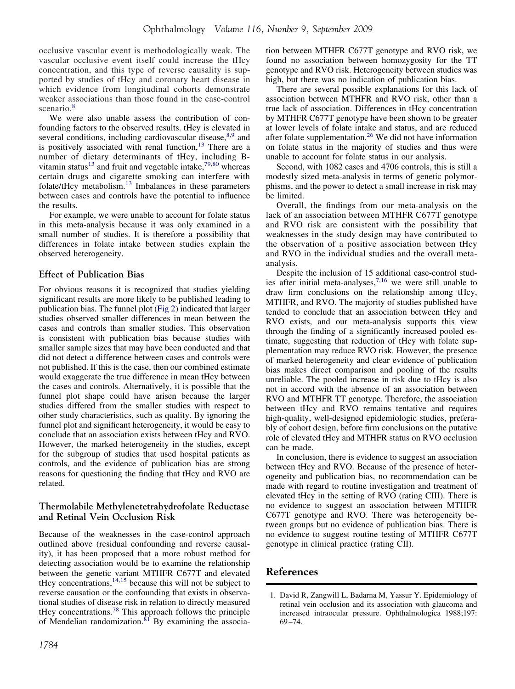<span id="page-7-0"></span>occlusive vascular event is methodologically weak. The vascular occlusive event itself could increase the tHcy concentration, and this type of reverse causality is supported by studies of tHcy and coronary heart disease in which evidence from longitudinal cohorts demonstrate weaker associations than those found in the case-control scenario.<sup>[8](#page-8-0)</sup>

We were also unable assess the contribution of confounding factors to the observed results. tHcy is elevated in several conditions, including cardiovascular disease,<sup>[8,9](#page-8-0)</sup> and is positively associated with renal function,<sup>13</sup> There are a number of dietary determinants of tHcy, including Bvitamin status<sup>13</sup> and fruit and vegetable intake,<sup>79,80</sup> whereas certain drugs and cigarette smoking can interfere with folate/tHcy metabolism.<sup>[13](#page-8-0)</sup> Imbalances in these parameters between cases and controls have the potential to influence the results.

For example, we were unable to account for folate status in this meta-analysis because it was only examined in a small number of studies. It is therefore a possibility that differences in folate intake between studies explain the observed heterogeneity.

## **Effect of Publication Bias**

For obvious reasons it is recognized that studies yielding significant results are more likely to be published leading to publication bias. The funnel plot [\(Fig 2\)](#page-5-0) indicated that larger studies observed smaller differences in mean between the cases and controls than smaller studies. This observation is consistent with publication bias because studies with smaller sample sizes that may have been conducted and that did not detect a difference between cases and controls were not published. If this is the case, then our combined estimate would exaggerate the true difference in mean tHcy between the cases and controls. Alternatively, it is possible that the funnel plot shape could have arisen because the larger studies differed from the smaller studies with respect to other study characteristics, such as quality. By ignoring the funnel plot and significant heterogeneity, it would be easy to conclude that an association exists between tHcy and RVO. However, the marked heterogeneity in the studies, except for the subgroup of studies that used hospital patients as controls, and the evidence of publication bias are strong reasons for questioning the finding that tHcy and RVO are related.

## **Thermolabile Methylenetetrahydrofolate Reductase and Retinal Vein Occlusion Risk**

Because of the weaknesses in the case-control approach outlined above (residual confounding and reverse causality), it has been proposed that a more robust method for detecting association would be to examine the relationship between the genetic variant MTHFR C677T and elevated tHcy concentrations, $14,15$  because this will not be subject to reverse causation or the confounding that exists in observational studies of disease risk in relation to directly measured tHcy concentrations.[78](#page-9-0) This approach follows the principle of Mendelian randomization. ${}^{81}$  ${}^{81}$  ${}^{81}$  By examining the association between MTHFR C677T genotype and RVO risk, we found no association between homozygosity for the TT genotype and RVO risk. Heterogeneity between studies was high, but there was no indication of publication bias.

There are several possible explanations for this lack of association between MTHFR and RVO risk, other than a true lack of association. Differences in tHcy concentration by MTHFR C677T genotype have been shown to be greater at lower levels of folate intake and status, and are reduced after folate supplementation[.26](#page-8-0) We did not have information on folate status in the majority of studies and thus were unable to account for folate status in our analysis.

Second, with 1082 cases and 4706 controls, this is still a modestly sized meta-analysis in terms of genetic polymorphisms, and the power to detect a small increase in risk may be limited.

Overall, the findings from our meta-analysis on the lack of an association between MTHFR C677T genotype and RVO risk are consistent with the possibility that weaknesses in the study design may have contributed to the observation of a positive association between tHcy and RVO in the individual studies and the overall metaanalysis.

Despite the inclusion of 15 additional case-control studies after initial meta-analyses, $^{7,16}$  we were still unable to draw firm conclusions on the relationship among tHcy, MTHFR, and RVO. The majority of studies published have tended to conclude that an association between tHcy and RVO exists, and our meta-analysis supports this view through the finding of a significantly increased pooled estimate, suggesting that reduction of tHcy with folate supplementation may reduce RVO risk. However, the presence of marked heterogeneity and clear evidence of publication bias makes direct comparison and pooling of the results unreliable. The pooled increase in risk due to tHcy is also not in accord with the absence of an association between RVO and MTHFR TT genotype. Therefore, the association between tHcy and RVO remains tentative and requires high-quality, well-designed epidemiologic studies, preferably of cohort design, before firm conclusions on the putative role of elevated tHcy and MTHFR status on RVO occlusion can be made.

In conclusion, there is evidence to suggest an association between tHcy and RVO. Because of the presence of heterogeneity and publication bias, no recommendation can be made with regard to routine investigation and treatment of elevated tHcy in the setting of RVO (rating CIII). There is no evidence to suggest an association between MTHFR C677T genotype and RVO. There was heterogeneity between groups but no evidence of publication bias. There is no evidence to suggest routine testing of MTHFR C677T genotype in clinical practice (rating CII).

## **References**

<sup>1.</sup> David R, Zangwill L, Badarna M, Yassur Y. Epidemiology of retinal vein occlusion and its association with glaucoma and increased intraocular pressure. Ophthalmologica 1988;197: 69–74.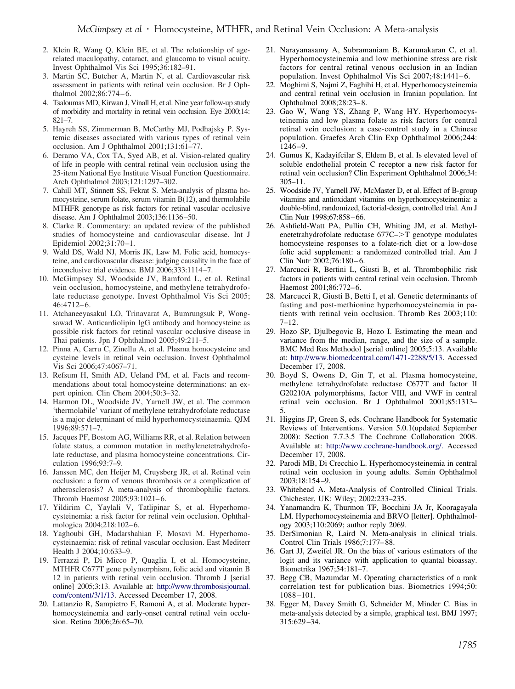- <span id="page-8-0"></span>2. Klein R, Wang Q, Klein BE, et al. The relationship of agerelated maculopathy, cataract, and glaucoma to visual acuity. Invest Ophthalmol Vis Sci 1995;36:182–91.
- 3. Martin SC, Butcher A, Martin N, et al. Cardiovascular risk assessment in patients with retinal vein occlusion. Br J Ophthalmol 2002;86:774–6.
- 4. Tsaloumas MD, Kirwan J, Vinall H, et al. Nine year follow-up study of morbidity and mortality in retinal vein occlusion. Eye 2000;14: 821–7.
- 5. Hayreh SS, Zimmerman B, McCarthy MJ, Podhajsky P. Systemic diseases associated with various types of retinal vein occlusion. Am J Ophthalmol 2001;131:61–77.
- 6. Deramo VA, Cox TA, Syed AB, et al. Vision-related quality of life in people with central retinal vein occlusion using the 25-item National Eye Institute Visual Function Questionnaire. Arch Ophthalmol 2003;121:1297–302.
- 7. Cahill MT, Stinnett SS, Fekrat S. Meta-analysis of plasma homocysteine, serum folate, serum vitamin B(12), and thermolabile MTHFR genotype as risk factors for retinal vascular occlusive disease. Am J Ophthalmol 2003;136:1136–50.
- 8. Clarke R. Commentary: an updated review of the published studies of homocysteine and cardiovascular disease. Int J Epidemiol 2002;31:70–1.
- Wald DS, Wald NJ, Morris JK, Law M. Folic acid, homocysteine, and cardiovascular disease: judging causality in the face of inconclusive trial evidence. BMJ 2006;333:1114–7.
- 10. McGimpsey SJ, Woodside JV, Bamford L, et al. Retinal vein occlusion, homocysteine, and methylene tetrahydrofolate reductase genotype. Invest Ophthalmol Vis Sci 2005; 46:4712–6.
- 11. Atchaneeyasakul LO, Trinavarat A, Bumrungsuk P, Wongsawad W. Anticardiolipin IgG antibody and homocysteine as possible risk factors for retinal vascular occlusive disease in Thai patients. Jpn J Ophthalmol 2005;49:211–5.
- 12. Pinna A, Carru C, Zinellu A, et al. Plasma homocysteine and cysteine levels in retinal vein occlusion. Invest Ophthalmol Vis Sci 2006;47:4067–71.
- 13. Refsum H, Smith AD, Ueland PM, et al. Facts and recommendations about total homocysteine determinations: an expert opinion. Clin Chem 2004;50:3–32.
- 14. Harmon DL, Woodside JV, Yarnell JW, et al. The common 'thermolabile' variant of methylene tetrahydrofolate reductase is a major determinant of mild hyperhomocysteinaemia. QJM 1996;89:571–7.
- 15. Jacques PF, Bostom AG, Williams RR, et al. Relation between folate status, a common mutation in methylenetetrahydrofolate reductase, and plasma homocysteine concentrations. Circulation 1996;93:7–9.
- 16. Janssen MC, den Heijer M, Cruysberg JR, et al. Retinal vein occlusion: a form of venous thrombosis or a complication of atherosclerosis? A meta-analysis of thrombophilic factors. Thromb Haemost 2005;93:1021–6.
- 17. Yildirim C, Yaylali V, Tatlipinar S, et al. Hyperhomocysteinemia: a risk factor for retinal vein occlusion. Ophthalmologica 2004;218:102–6.
- 18. Yaghoubi GH, Madarshahian F, Mosavi M. Hyperhomocysteinaemia: risk of retinal vascular occlusion. East Mediterr Health J 2004;10:633–9.
- 19. Terrazzi P, Di Micco P, Quaglia I, et al. Homocysteine, MTHFR C677T gene polymorphism, folic acid and vitamin B 12 in patients with retinal vein occlusion. Thromb J [serial online] 2005;3:13. Available at: [http://www.thrombosisjournal.](http://www.thrombosisjournal.com/content/3/1/13) [com/content/3/1/13.](http://www.thrombosisjournal.com/content/3/1/13) Accessed December 17, 2008.
- 20. Lattanzio R, Sampietro F, Ramoni A, et al. Moderate hyperhomocysteinemia and early-onset central retinal vein occlusion. Retina 2006;26:65–70.
- 21. Narayanasamy A, Subramaniam B, Karunakaran C, et al. Hyperhomocysteinemia and low methionine stress are risk factors for central retinal venous occlusion in an Indian population. Invest Ophthalmol Vis Sci 2007;48:1441–6.
- 22. Moghimi S, Najmi Z, Faghihi H, et al. Hyperhomocysteinemia and central retinal vein occlusion in Iranian population. Int Ophthalmol 2008;28:23–8.
- 23. Gao W, Wang YS, Zhang P, Wang HY. Hyperhomocysteinemia and low plasma folate as risk factors for central retinal vein occlusion: a case-control study in a Chinese population. Graefes Arch Clin Exp Ophthalmol 2006;244: 1246–9.
- 24. Gumus K, Kadayifcilar S, Eldem B, et al. Is elevated level of soluble endothelial protein C receptor a new risk factor for retinal vein occlusion? Clin Experiment Ophthalmol 2006;34: 305–11.
- 25. Woodside JV, Yarnell JW, McMaster D, et al. Effect of B-group vitamins and antioxidant vitamins on hyperhomocysteinemia: a double-blind, randomized, factorial-design, controlled trial. Am J Clin Nutr 1998;67:858–66.
- 26. Ashfield-Watt PA, Pullin CH, Whiting JM, et al. Methylenetetrahydrofolate reductase  $677C \rightarrow T$  genotype modulates homocysteine responses to a folate-rich diet or a low-dose folic acid supplement: a randomized controlled trial. Am J Clin Nutr 2002;76:180–6.
- 27. Marcucci R, Bertini L, Giusti B, et al. Thrombophilic risk factors in patients with central retinal vein occlusion. Thromb Haemost 2001;86:772–6.
- 28. Marcucci R, Giusti B, Betti I, et al. Genetic determinants of fasting and post-methionine hyperhomocysteinemia in patients with retinal vein occlusion. Thromb Res 2003;110: 7–12.
- 29. Hozo SP, Djulbegovic B, Hozo I. Estimating the mean and variance from the median, range, and the size of a sample. BMC Med Res Methodol [serial online] 2005;5:13. Available at: [http://www.biomedcentral.com/1471-2288/5/13.](http://www.biomedcentral.com/1471-2288/5/13) Accessed December 17, 2008.
- 30. Boyd S, Owens D, Gin T, et al. Plasma homocysteine, methylene tetrahydrofolate reductase C677T and factor II G20210A polymorphisms, factor VIII, and VWF in central retinal vein occlusion. Br J Ophthalmol 2001;85:1313– 5.
- 31. Higgins JP, Green S, eds. Cochrane Handbook for Systematic Reviews of Interventions. Version 5.0.1(updated September 2008): Section 7.7.3.5 The Cochrane Collaboration 2008. Available at: [http://www.cochrane-handbook.org/.](http://www.cochrane-handbook.org/) Accessed December 17, 2008.
- 32. Parodi MB, Di Crecchio L. Hyperhomocysteinemia in central retinal vein occlusion in young adults. Semin Ophthalmol 2003;18:154–9.
- 33. Whitehead A. Meta-Analysis of Controlled Clinical Trials. Chichester, UK: Wiley; 2002:233–235.
- 34. Yanamandra K, Thurmon TF, Bocchini JA Jr, Kooragayala LM. Hyperhomocysteinemia and BRVO [letter]. Ophthalmology 2003;110:2069; author reply 2069.
- 35. DerSimonian R, Laird N. Meta-analysis in clinical trials. Control Clin Trials 1986;7:177–88.
- 36. Gart JJ, Zweifel JR. On the bias of various estimators of the logit and its variance with application to quantal bioassay. Biometrika 1967;54:181–7.
- 37. Begg CB, Mazumdar M. Operating characteristics of a rank correlation test for publication bias. Biometrics 1994;50: 1088–101.
- 38. Egger M, Davey Smith G, Schneider M, Minder C. Bias in meta-analysis detected by a simple, graphical test. BMJ 1997; 315:629–34.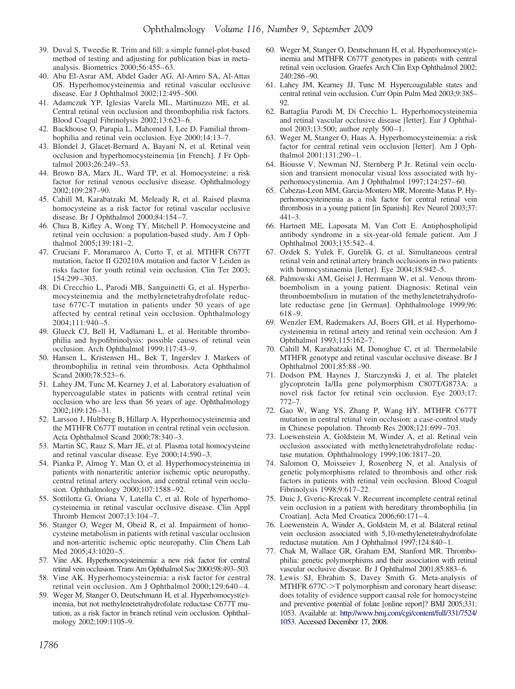- <span id="page-9-0"></span>39. Duval S, Tweedie R. Trim and fill: a simple funnel-plot-based method of testing and adjusting for publication bias in metaanalysis. Biometrics 2000;56:455–63.
- 40. Abu El-Asrar AM, Abdel Gader AG, Al-Amro SA, Al-Attas OS. Hyperhomocysteinemia and retinal vascular occlusive disease. Eur J Ophthalmol 2002;12:495–500.
- 41. Adamczuk YP, Iglesias Varela ML, Martinuzzo ME, et al. Central retinal vein occlusion and thrombophilia risk factors. Blood Coagul Fibrinolysis 2002;13:623–6.
- 42. Backhouse O, Parapia L, Mahomed I, Lee D. Familial thrombophilia and retinal vein occlusion. Eye 2000;14:13–7.
- 43. Blondel J, Glacet-Bernard A, Bayani N, et al. Retinal vein occlusion and hyperhomocysteinemia [in French]. J Fr Ophtalmol 2003;26:249–53.
- 44. Brown BA, Marx JL, Ward TP, et al. Homocysteine: a risk factor for retinal venous occlusive disease. Ophthalmology 2002;109:287–90.
- 45. Cahill M, Karabatzaki M, Meleady R, et al. Raised plasma homocysteine as a risk factor for retinal vascular occlusive disease. Br J Ophthalmol 2000;84:154–7.
- 46. Chua B, Kifley A, Wong TY, Mitchell P. Homocysteine and retinal vein occlusion: a population-based study. Am J Ophthalmol 2005;139:181–2.
- 47. Cruciani F, Moramarco A, Curto T, et al. MTHFR C677T mutation, factor II G20210A mutation and factor V Leiden as risks factor for youth retinal vein occlusion. Clin Ter 2003; 154:299–303.
- 48. Di Crecchio L, Parodi MB, Sanguinetti G, et al. Hyperhomocysteinemia and the methylenetetrahydrofolate reductase 677C-T mutation in patients under 50 years of age affected by central retinal vein occlusion. Ophthalmology 2004;111:940–5.
- 49. Glueck CJ, Bell H, Vadlamani L, et al. Heritable thrombophilia and hypofibrinolysis: possible causes of retinal vein occlusion. Arch Ophthalmol 1999;117:43–9.
- 50. Hansen L, Kristensen HL, Bek T, Ingerslev J. Markers of thrombophilia in retinal vein thrombosis. Acta Ophthalmol Scand 2000;78:523–6.
- 51. Lahey JM, Tunc M, Kearney J, et al. Laboratory evaluation of hypercoagulable states in patients with central retinal vein occlusion who are less than 56 years of age. Ophthalmology 2002;109:126–31.
- 52. Larsson J, Hultberg B, Hillarp A. Hyperhomocysteinemia and the MTHFR C677T mutation in central retinal vein occlusion. Acta Ophthalmol Scand 2000;78:340–3.
- 53. Martin SC, Rauz S, Marr JE, et al. Plasma total homocysteine and retinal vascular disease. Eye 2000;14:590–3.
- 54. Pianka P, Almog Y, Man O, et al. Hyperhomocysteinemia in patients with nonarteritic anterior ischemic optic neuropathy, central retinal artery occlusion, and central retinal vein occlusion. Ophthalmology 2000;107:1588–92.
- 55. Sottilotta G, Oriana V, Latella C, et al. Role of hyperhomocysteinemia in retinal vascular occlusive disease. Clin Appl Thromb Hemost 2007;13:104–7.
- 56. Stanger O, Weger M, Obeid R, et al. Impairment of homocysteine metabolism in patients with retinal vascular occlusion and non-arteritic ischemic optic neuropathy. Clin Chem Lab Med 2005;43:1020–5.
- 57. Vine AK. Hyperhomocysteinemia: a new risk factor for central retinal vein occlusion. Trans Am Ophthalmol Soc 2000;98:493–503.
- 58. Vine AK. Hyperhomocysteinemia: a risk factor for central retinal vein occlusion. Am J Ophthalmol 2000;129:640–4.
- 59. Weger M, Stanger O, Deutschmann H, et al. Hyperhomocyst(e) inemia, but not methylenetetrahydrofolate reductase C677T mutation, as a risk factor in branch retinal vein occlusion. Ophthalmology 2002;109:1105–9.
- 60. Weger M, Stanger O, Deutschmann H, et al. Hyperhomocyst(e) inemia and MTHFR C677T genotypes in patients with central retinal vein occlusion. Graefes Arch Clin Exp Ophthalmol 2002; 240:286–90.
- 61. Lahey JM, Kearney JJ, Tunc M. Hypercoagulable states and central retinal vein occlusion. Curr Opin Pulm Med 2003;9:385– 92.
- 62. Battaglia Parodi M, Di Crecchio L. Hyperhomocysteinemia and retinal vascular occlusive disease [letter]. Eur J Ophthalmol 2003;13:500; author reply 500–1.
- 63. Weger M, Stanger O, Haas A. Hyperhomocysteinemia: a risk factor for central retinal vein occlusion [letter]. Am J Ophthalmol 2001;131:290–1.
- 64. Biousse V, Newman NJ, Sternberg P Jr. Retinal vein occlusion and transient monocular visual loss associated with hyperhomocystinemia. Am J Ophthalmol 1997;124:257–60.
- 65. Cabezas-Leon MM, Garcia-Montero MR, Morente-Matas P. Hyperhomocysteinemia as a risk factor for central retinal vein thrombosis in a young patient [in Spanish]. Rev Neurol 2003;37: 441–3.
- 66. Hartnett ME, Laposata M, Van Cott E. Antiphospholipid antibody syndrome in a six-year-old female patient. Am J Ophthalmol 2003;135:542–4.
- 67. Ozdek S, Yulek F, Gurelik G, et al. Simultaneous central retinal vein and retinal artery branch occlusions in two patients with homocystinaemia [letter]. Eye 2004;18:942–5.
- 68. Palmowski AM, Geisel J, Herrmann W, et al. Venous thromboembolism in a young patient. Diagnosis: Retinal vein thromboembolism in mutation of the methylenetetrahydrofolate reductase gene [in German]. Ophthalmologe 1999;96: 618–9.
- 69. Wenzler EM, Rademakers AJ, Boers GH, et al. Hyperhomocysteinemia in retinal artery and retinal vein occlusion. Am J Ophthalmol 1993;115:162–7.
- 70. Cahill M, Karabatzaki M, Donoghue C, et al. Thermolabile MTHFR genotype and retinal vascular occlusive disease. Br J Ophthalmol 2001;85:88–90.
- 71. Dodson PM, Haynes J, Starczynski J, et al. The platelet glycoprotein Ia/IIa gene polymorphism C807T/G873A: a novel risk factor for retinal vein occlusion. Eye 2003;17: 772–7.
- 72. Gao W, Wang YS, Zhang P, Wang HY. MTHFR C677T mutation in central retinal vein occlusion: a case-control study in Chinese population. Thromb Res 2008;121:699–703.
- 73. Loewenstein A, Goldstein M, Winder A, et al. Retinal vein occlusion associated with methylenetetrahydrofolate reductase mutation. Ophthalmology 1999;106:1817–20.
- 74. Salomon O, Moisseiev J, Rosenberg N, et al. Analysis of genetic polymorphisms related to thrombosis and other risk factors in patients with retinal vein occlusion. Blood Coagul Fibrinolysis 1998;9:617–22.
- 75. Duic J, Gveric-Krecak V. Recurrent incomplete central retinal vein occlusion in a patient with hereditary thrombophilia [in Croatian]. Acta Med Croatica 2006;60:171–4.
- 76. Loewenstein A, Winder A, Goldstein M, et al. Bilateral retinal vein occlusion associated with 5,10-methylenetetrahydrofolate reductase mutation. Am J Ophthalmol 1997;124:840–1.
- 77. Chak M, Wallace GR, Graham EM, Stanford MR. Thrombophilia: genetic polymorphisms and their association with retinal vascular occlusive disease. Br J Ophthalmol 2001;85:883–6.
- 78. Lewis SJ, Ebrahim S, Davey Smith G. Meta-analysis of MTHFR 677C->T polymorphism and coronary heart disease: does totality of evidence support causal role for homocysteine and preventive potential of folate [online report]? BMJ 2005;331: 1053. Available at: [http://www.bmj.com/cgi/content/full/331/7524/](http://www.bmj.com/cgi/content/full/331/7524/1053) [1053.](http://www.bmj.com/cgi/content/full/331/7524/1053) Accessed December 17, 2008.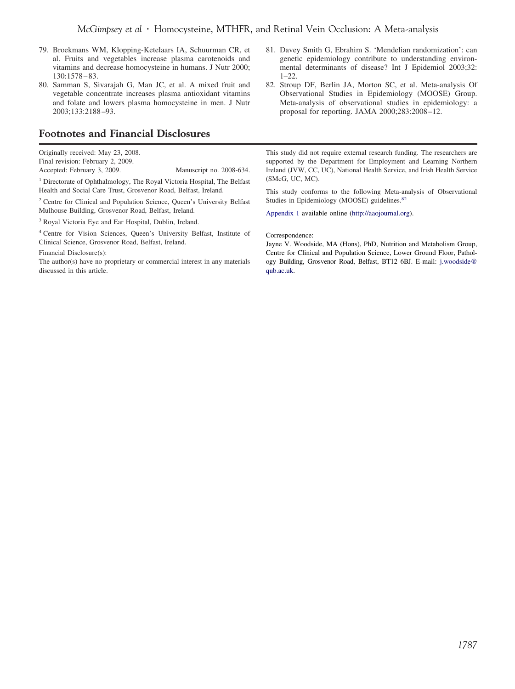- <span id="page-10-0"></span>79. Broekmans WM, Klopping-Ketelaars IA, Schuurman CR, et al. Fruits and vegetables increase plasma carotenoids and vitamins and decrease homocysteine in humans. J Nutr 2000; 130:1578–83.
- 80. Samman S, Sivarajah G, Man JC, et al. A mixed fruit and vegetable concentrate increases plasma antioxidant vitamins and folate and lowers plasma homocysteine in men. J Nutr 2003;133:2188–93.

## **Footnotes and Financial Disclosures**

Originally received: May 23, 2008.

Final revision: February 2, 2009.

Accepted: February 3, 2009. Manuscript no. 2008-634.

<sup>1</sup> Directorate of Ophthalmology, The Royal Victoria Hospital, The Belfast Health and Social Care Trust, Grosvenor Road, Belfast, Ireland.

<sup>2</sup> Centre for Clinical and Population Science, Queen's University Belfast Mulhouse Building, Grosvenor Road, Belfast, Ireland.

<sup>3</sup> Royal Victoria Eye and Ear Hospital, Dublin, Ireland.

<sup>4</sup> Centre for Vision Sciences, Queen's University Belfast, Institute of Clinical Science, Grosvenor Road, Belfast, Ireland.

Financial Disclosure(s):

The author(s) have no proprietary or commercial interest in any materials discussed in this article.

- 81. Davey Smith G, Ebrahim S. 'Mendelian randomization': can genetic epidemiology contribute to understanding environmental determinants of disease? Int J Epidemiol 2003;32: 1–22.
- 82. Stroup DF, Berlin JA, Morton SC, et al. Meta-analysis Of Observational Studies in Epidemiology (MOOSE) Group. Meta-analysis of observational studies in epidemiology: a proposal for reporting. JAMA 2000;283:2008–12.

This study did not require external research funding. The researchers are supported by the Department for Employment and Learning Northern Ireland (JVW, CC, UC), National Health Service, and Irish Health Service (SMcG, UC, MC).

This study conforms to the following Meta-analysis of Observational Studies in Epidemiology (MOOSE) guidelines.<sup>82</sup>

Appendix 1 available online [\(http://aaojournal.org\)](http://aaojournal.org).

#### Correspondence:

Jayne V. Woodside, MA (Hons), PhD, Nutrition and Metabolism Group, Centre for Clinical and Population Science, Lower Ground Floor, Pathology Building, Grosvenor Road, Belfast, BT12 6BJ. E-mail: [j.woodside@](mailto:j.woodside@qub.ac.uk) [qub.ac.uk.](mailto:j.woodside@qub.ac.uk)